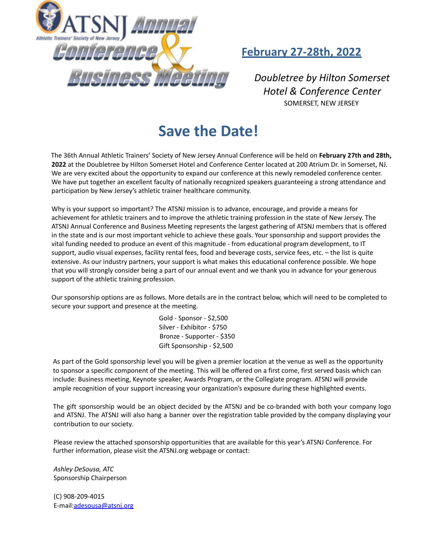

# **February 27-28th, 2022**

*Doubletree by Hilton Somerset Hotel & Conference Center* SOMERSET, NEW JERSEY

# **Save the Date!**

The 36th Annual Athletic Trainers' Society of New Jersey Annual Conference will be held on **February 27th and 28th, 2022** at the Doubletree by Hilton Somerset Hotel and Conference Center located at 200 Atrium Dr. in Somerset, NJ. We are very excited about the opportunity to expand our conference at this newly remodeled conference center. We have put together an excellent faculty of nationally recognized speakers guaranteeing a strong attendance and participation by New Jersey's athletic trainer healthcare community.

Why is your support so important? The ATSNJ mission is to advance, encourage, and provide a means for achievement for athletic trainers and to improve the athletic training profession in the state of New Jersey. The ATSNJ Annual Conference and Business Meeting represents the largest gathering of ATSNJ members that is offered in the state and is our most important vehicle to achieve these goals. Your sponsorship and support provides the vital funding needed to produce an event of this magnitude - from educational program development, to IT support, audio visual expenses, facility rental fees, food and beverage costs, service fees, etc. – the list is quite extensive. As our industry partners, your support is what makes this educational conference possible. We hope that you will strongly consider being a part of our annual event and we thank you in advance for your generous support of the athletic training profession.

Our sponsorship options are as follows. More details are in the contract below, which will need to be completed to secure your support and presence at the meeting.

> Gold - Sponsor - \$2,500 Silver - Exhibitor - \$750 Bronze - Supporter - \$350 Gift Sponsorship - \$2,500

As part of the Gold sponsorship level you will be given a premier location at the venue as well as the opportunity to sponsor a specific component of the meeting. This will be offered on a first come, first served basis which can include: Business meeting, Keynote speaker, Awards Program, or the Collegiate program. ATSNJ will provide ample recognition of your support increasing your organization's exposure during these highlighted events.

The gift sponsorship would be an object decided by the ATSNJ and be co-branded with both your company logo and ATSNJ. The ATSNJ will also hang a banner over the registration table provided by the company displaying your contribution to our society.

Please review the attached sponsorship opportunities that are available for this year's ATSNJ Conference. For further information, please visit the ATSNJ.org webpage or contact:

*Ashley DeSousa, ATC* Sponsorship Chairperson

(C) 908-209-4015 E-mail:adesousa@atsnj.org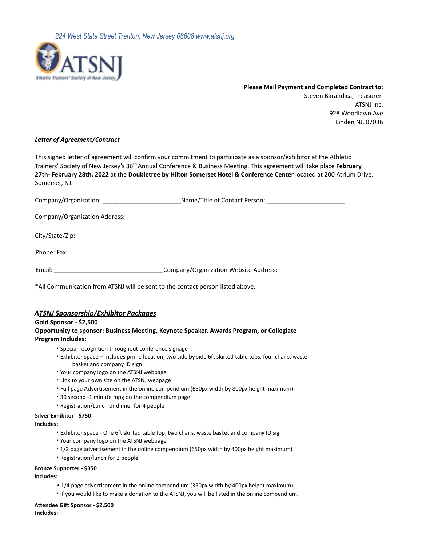

**Please Mail Payment and Completed Contract to:** Steven Barandica, Treasurer ATSNJ Inc. 928 Woodlawn Ave Linden NJ, 07036

#### *Letter of Agreement/Contract*

This signed letter of agreement will confirm your commitment to participate as a sponsor/exhibitor at the Athletic Trainers' Society of New Jersey's 36<sup>th</sup> Annual Conference & Business Meeting. This agreement will take place **February 27th- February 28th, 2022** at the **Doubletree by Hilton Somerset Hotel & Conference Center** located at 200 Atrium Drive, Somerset, NJ.

Company/Organization: \_\_\_\_\_\_\_\_\_\_\_\_\_\_\_\_\_\_\_\_\_\_\_Name/Title of Contact Person: \_\_\_\_\_\_\_\_\_\_\_\_\_\_\_\_\_\_\_\_\_\_\_

Company/Organization Address:

City/State/Zip:

Phone: Fax:

Email: **\_\_\_\_\_\_\_\_\_\_\_\_\_\_\_\_\_\_\_\_\_\_\_\_\_\_\_\_\_\_\_\_**Company/Organization Website Address:

\*All Communication from ATSNJ will be sent to the contact person listed above.

## *ATSNJ Sponsorship/Exhibitor Packages*

#### **Gold Sponsor - \$2,500**

#### **Opportunity to sponsor: Business Meeting, Keynote Speaker, Awards Program, or Collegiate Program Includes:**

- ∙ Special recognition throughout conference signage
- ∙ Exhibitor space Includes prime location, two side by side 6ft skirted table tops, four chairs, waste basket and company ID sign
- ∙ Your company logo on the ATSNJ webpage
- ∙ Link to your own site on the ATSNJ webpage
- ∙ Full page Advertisement in the online compendium (650px width by 800px height maximum)
- ∙ 30 second -1 minute mpg on the compendium page
- ∙ Registration/Lunch or dinner for 4 people

#### **Silver Exhibitor - \$750**

#### **Includes:**

- ∙ Exhibitor space One 6ft skirted table top, two chairs, waste basket and company ID sign
- ∙ Your company logo on the ATSNJ webpage
- ∙ 1/2 page advertisement in the online compendium (650px width by 400px height maximum)
- ∙ Registration/lunch for 2 peopl**e**

#### **Bronze Supporter - \$350**

#### **Includes:**

- 1/4 page advertisement in the online compendium (350px width by 400px height maximum)
- ∙ If you would like to make a donation to the ATSNJ, you will be listed in the online compendium.

**Attendee Gift Sponsor - \$2,500 Includes:**